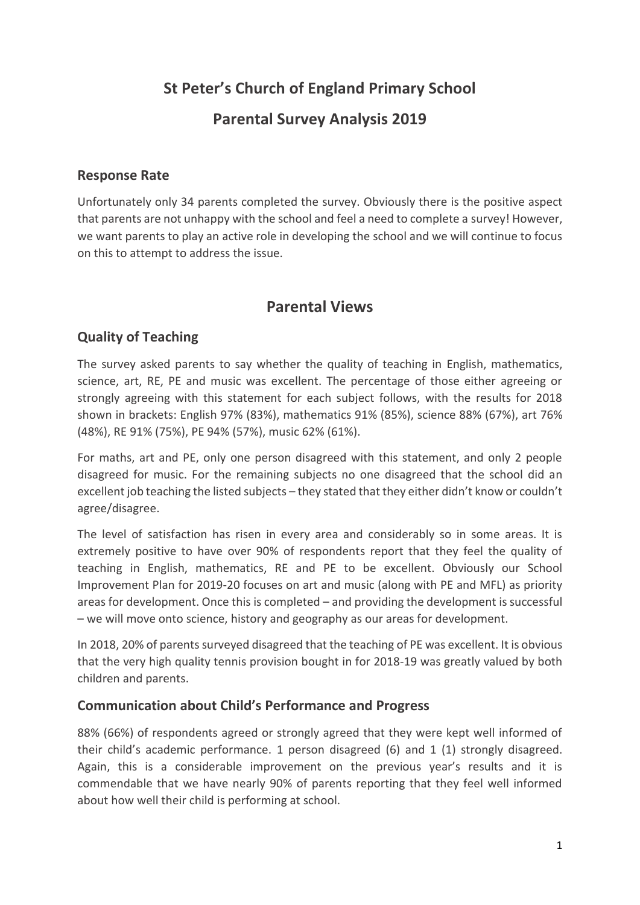# **St Peter's Church of England Primary School**

# **Parental Survey Analysis 2019**

#### **Response Rate**

Unfortunately only 34 parents completed the survey. Obviously there is the positive aspect that parents are not unhappy with the school and feel a need to complete a survey! However, we want parents to play an active role in developing the school and we will continue to focus on this to attempt to address the issue.

# **Parental Views**

## **Quality of Teaching**

The survey asked parents to say whether the quality of teaching in English, mathematics, science, art, RE, PE and music was excellent. The percentage of those either agreeing or strongly agreeing with this statement for each subject follows, with the results for 2018 shown in brackets: English 97% (83%), mathematics 91% (85%), science 88% (67%), art 76% (48%), RE 91% (75%), PE 94% (57%), music 62% (61%).

For maths, art and PE, only one person disagreed with this statement, and only 2 people disagreed for music. For the remaining subjects no one disagreed that the school did an excellent job teaching the listed subjects – they stated that they either didn't know or couldn't agree/disagree.

The level of satisfaction has risen in every area and considerably so in some areas. It is extremely positive to have over 90% of respondents report that they feel the quality of teaching in English, mathematics, RE and PE to be excellent. Obviously our School Improvement Plan for 2019-20 focuses on art and music (along with PE and MFL) as priority areas for development. Once this is completed – and providing the development is successful – we will move onto science, history and geography as our areas for development.

In 2018, 20% of parents surveyed disagreed that the teaching of PE was excellent. It is obvious that the very high quality tennis provision bought in for 2018-19 was greatly valued by both children and parents.

#### **Communication about Child's Performance and Progress**

88% (66%) of respondents agreed or strongly agreed that they were kept well informed of their child's academic performance. 1 person disagreed (6) and 1 (1) strongly disagreed. Again, this is a considerable improvement on the previous year's results and it is commendable that we have nearly 90% of parents reporting that they feel well informed about how well their child is performing at school.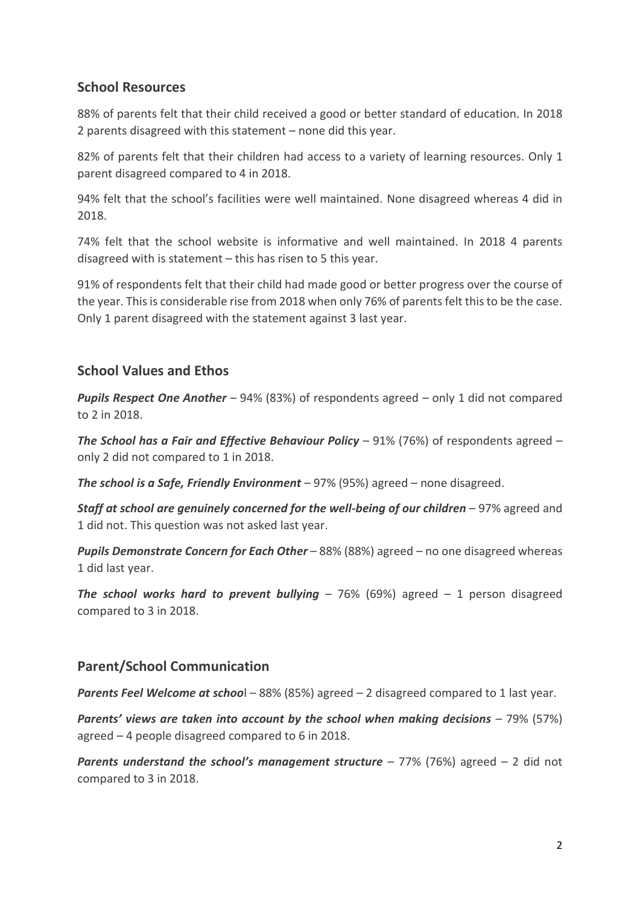#### **School Resources**

88% of parents felt that their child received a good or better standard of education. In 2018 2 parents disagreed with this statement – none did this year.

82% of parents felt that their children had access to a variety of learning resources. Only 1 parent disagreed compared to 4 in 2018.

94% felt that the school's facilities were well maintained. None disagreed whereas 4 did in 2018.

74% felt that the school website is informative and well maintained. In 2018 4 parents disagreed with is statement – this has risen to 5 this year.

91% of respondents felt that their child had made good or better progress over the course of the year. This is considerable rise from 2018 when only 76% of parents felt this to be the case. Only 1 parent disagreed with the statement against 3 last year.

## **School Values and Ethos**

*Pupils Respect One Another* – 94% (83%) of respondents agreed – only 1 did not compared to 2 in 2018.

*The School has a Fair and Effective Behaviour Policy* – 91% (76%) of respondents agreed – only 2 did not compared to 1 in 2018.

*The school is a Safe, Friendly Environment* – 97% (95%) agreed – none disagreed.

*Staff at school are genuinely concerned for the well-being of our children* – 97% agreed and 1 did not. This question was not asked last year.

*Pupils Demonstrate Concern for Each Other* – 88% (88%) agreed – no one disagreed whereas 1 did last year.

*The school works hard to prevent bullying* – 76% (69%) agreed – 1 person disagreed compared to 3 in 2018.

## **Parent/School Communication**

*Parents Feel Welcome at schoo*l – 88% (85%) agreed – 2 disagreed compared to 1 last year.

*Parents' views are taken into account by the school when making decisions* – 79% (57%) agreed – 4 people disagreed compared to 6 in 2018.

*Parents understand the school's management structure* – 77% (76%) agreed – 2 did not compared to 3 in 2018.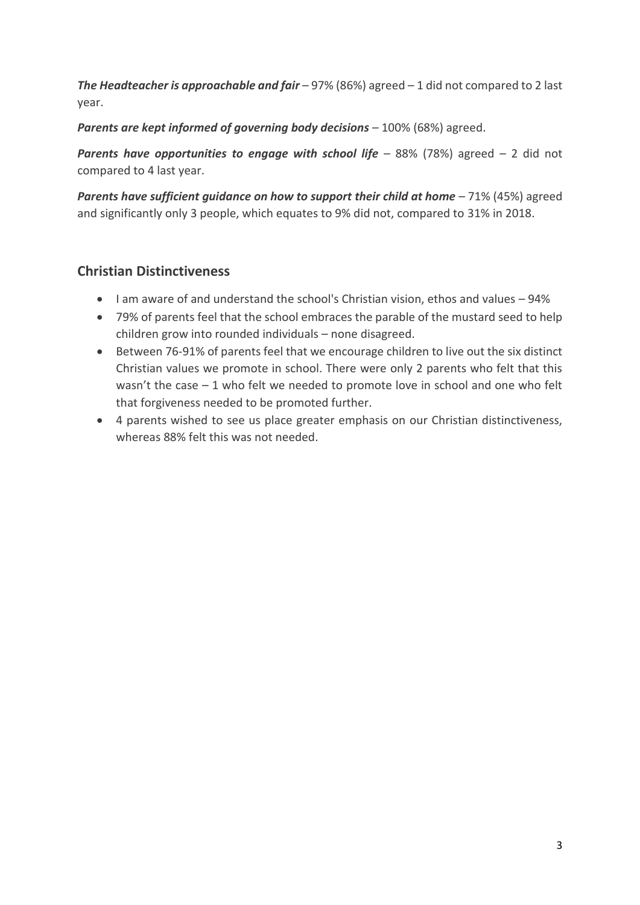*The Headteacher is approachable and fair* – 97% (86%) agreed – 1 did not compared to 2 last year.

*Parents are kept informed of governing body decisions* – 100% (68%) agreed.

**Parents have opportunities to engage with school life** – 88% (78%) agreed – 2 did not compared to 4 last year.

**Parents have sufficient guidance on how to support their child at home** - 71% (45%) agreed and significantly only 3 people, which equates to 9% did not, compared to 31% in 2018.

## **Christian Distinctiveness**

- I am aware of and understand the school's Christian vision, ethos and values 94%
- 79% of parents feel that the school embraces the parable of the mustard seed to help children grow into rounded individuals – none disagreed.
- Between 76-91% of parents feel that we encourage children to live out the six distinct Christian values we promote in school. There were only 2 parents who felt that this wasn't the case – 1 who felt we needed to promote love in school and one who felt that forgiveness needed to be promoted further.
- 4 parents wished to see us place greater emphasis on our Christian distinctiveness, whereas 88% felt this was not needed.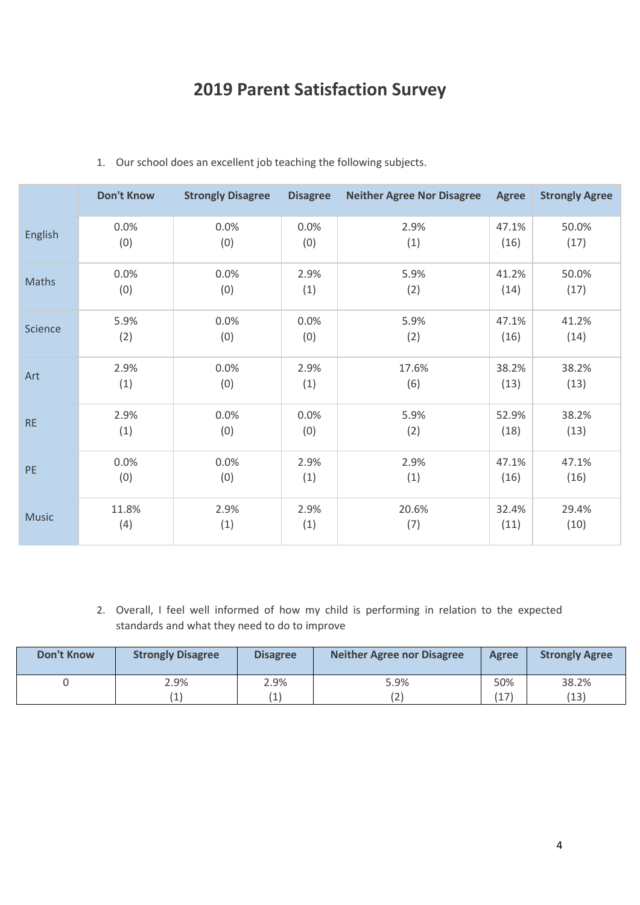# **2019 Parent Satisfaction Survey**

|              | <b>Don't Know</b> | <b>Strongly Disagree</b> | <b>Disagree</b> | <b>Neither Agree Nor Disagree</b> | <b>Agree</b> | <b>Strongly Agree</b> |
|--------------|-------------------|--------------------------|-----------------|-----------------------------------|--------------|-----------------------|
| English      | 0.0%              | 0.0%                     | 0.0%            | 2.9%                              | 47.1%        | 50.0%                 |
|              | (0)               | (0)                      | (0)             | (1)                               | (16)         | (17)                  |
| Maths        | 0.0%              | 0.0%                     | 2.9%            | 5.9%                              | 41.2%        | 50.0%                 |
|              | (0)               | (0)                      | (1)             | (2)                               | (14)         | (17)                  |
| Science      | 5.9%              | 0.0%                     | 0.0%            | 5.9%                              | 47.1%        | 41.2%                 |
|              | (2)               | (0)                      | (0)             | (2)                               | (16)         | (14)                  |
| Art          | 2.9%              | 0.0%                     | 2.9%            | 17.6%                             | 38.2%        | 38.2%                 |
|              | (1)               | (0)                      | (1)             | (6)                               | (13)         | (13)                  |
| <b>RE</b>    | 2.9%              | 0.0%                     | 0.0%            | 5.9%                              | 52.9%        | 38.2%                 |
|              | (1)               | (0)                      | (0)             | (2)                               | (18)         | (13)                  |
| <b>PE</b>    | 0.0%              | 0.0%                     | 2.9%            | 2.9%                              | 47.1%        | 47.1%                 |
|              | (0)               | (0)                      | (1)             | (1)                               | (16)         | (16)                  |
| <b>Music</b> | 11.8%             | 2.9%                     | 2.9%            | 20.6%                             | 32.4%        | 29.4%                 |
|              | (4)               | (1)                      | (1)             | (7)                               | (11)         | (10)                  |

#### 1. Our school does an excellent job teaching the following subjects.

2. Overall, I feel well informed of how my child is performing in relation to the expected standards and what they need to do to improve

| <b>Don't Know</b> | <b>Strongly Disagree</b> | <b>Disagree</b>   | Neither Agree nor Disagree | <b>Agree</b> | <b>Strongly Agree</b> |
|-------------------|--------------------------|-------------------|----------------------------|--------------|-----------------------|
|                   | 2.9%                     | 2.9%              | 5.9%                       | 50%          | 38.2%                 |
|                   |                          | $\left( 1\right)$ | (2)                        | (17)         | (13)                  |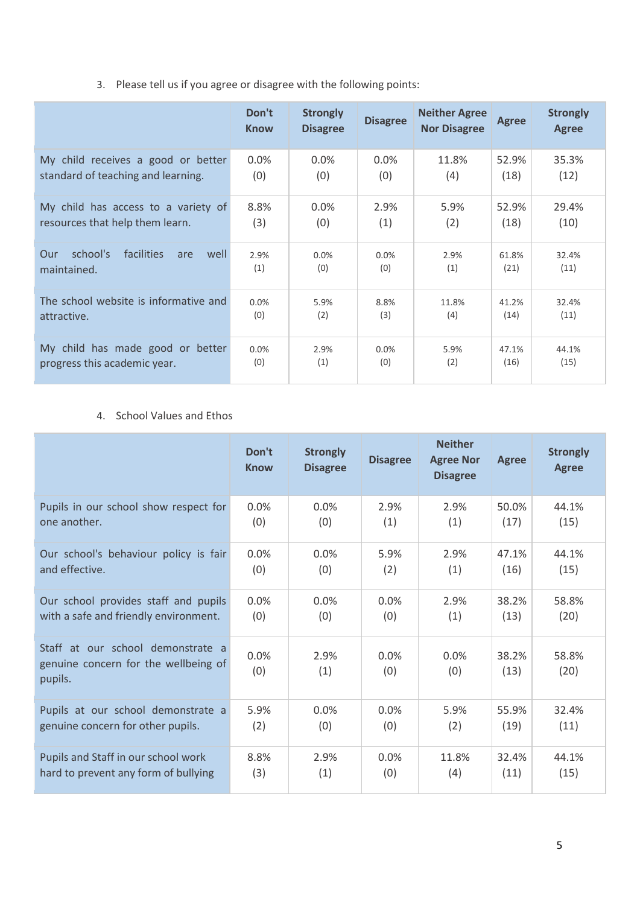3. Please tell us if you agree or disagree with the following points:

|                                                             | Don't<br><b>Know</b> | <b>Strongly</b><br><b>Disagree</b> | <b>Disagree</b> | <b>Neither Agree</b><br><b>Nor Disagree</b> | <b>Agree</b>  | <b>Strongly</b><br><b>Agree</b> |
|-------------------------------------------------------------|----------------------|------------------------------------|-----------------|---------------------------------------------|---------------|---------------------------------|
| My child receives a good or better                          | 0.0%                 | 0.0%                               | $0.0\%$         | 11.8%                                       | 52.9%         | 35.3%                           |
| standard of teaching and learning.                          | (0)                  | (0)                                | (0)             | (4)                                         | (18)          | (12)                            |
| My child has access to a variety of                         | 8.8%                 | $0.0\%$                            | 2.9%            | 5.9%                                        | 52.9%         | 29.4%                           |
| resources that help them learn.                             | (3)                  | (0)                                | (1)             | (2)                                         | (18)          | (10)                            |
| school's<br>facilities<br>well<br>Our<br>are<br>maintained. | 2.9%<br>(1)          | 0.0%<br>(0)                        | 0.0%<br>(0)     | 2.9%<br>(1)                                 | 61.8%<br>(21) | 32.4%<br>(11)                   |
| The school website is informative and                       | 0.0%                 | 5.9%                               | 8.8%            | 11.8%                                       | 41.2%         | 32.4%                           |
| attractive.                                                 | (0)                  | (2)                                | (3)             | (4)                                         | (14)          | (11)                            |
| My child has made good or better                            | 0.0%                 | 2.9%                               | 0.0%            | 5.9%                                        | 47.1%         | 44.1%                           |
| progress this academic year.                                | (0)                  | (1)                                | (0)             | (2)                                         | (16)          | (15)                            |

#### 4. School Values and Ethos

|                                                                                      | Don't<br><b>Know</b> | <b>Strongly</b><br><b>Disagree</b> | <b>Disagree</b> | <b>Neither</b><br><b>Agree Nor</b><br><b>Disagree</b> | <b>Agree</b>  | <b>Strongly</b><br><b>Agree</b> |
|--------------------------------------------------------------------------------------|----------------------|------------------------------------|-----------------|-------------------------------------------------------|---------------|---------------------------------|
| Pupils in our school show respect for                                                | 0.0%                 | 0.0%                               | 2.9%            | 2.9%                                                  | 50.0%         | 44.1%                           |
| one another.                                                                         | (0)                  | (0)                                | (1)             | (1)                                                   | (17)          | (15)                            |
| Our school's behaviour policy is fair                                                | 0.0%                 | 0.0%                               | 5.9%            | 2.9%                                                  | 47.1%         | 44.1%                           |
| and effective.                                                                       | (0)                  | (0)                                | (2)             | (1)                                                   | (16)          | (15)                            |
| Our school provides staff and pupils                                                 | 0.0%                 | 0.0%                               | 0.0%            | 2.9%                                                  | 38.2%         | 58.8%                           |
| with a safe and friendly environment.                                                | (0)                  | (0)                                | (0)             | (1)                                                   | (13)          | (20)                            |
| Staff at our school demonstrate a<br>genuine concern for the wellbeing of<br>pupils. | 0.0%<br>(0)          | 2.9%<br>(1)                        | 0.0%<br>(0)     | 0.0%<br>(0)                                           | 38.2%<br>(13) | 58.8%<br>(20)                   |
| Pupils at our school demonstrate a                                                   | 5.9%                 | 0.0%                               | 0.0%            | 5.9%                                                  | 55.9%         | 32.4%                           |
| genuine concern for other pupils.                                                    | (2)                  | (0)                                | (0)             | (2)                                                   | (19)          | (11)                            |
| Pupils and Staff in our school work                                                  | 8.8%                 | 2.9%                               | 0.0%            | 11.8%                                                 | 32.4%         | 44.1%                           |
| hard to prevent any form of bullying                                                 | (3)                  | (1)                                | (0)             | (4)                                                   | (11)          | (15)                            |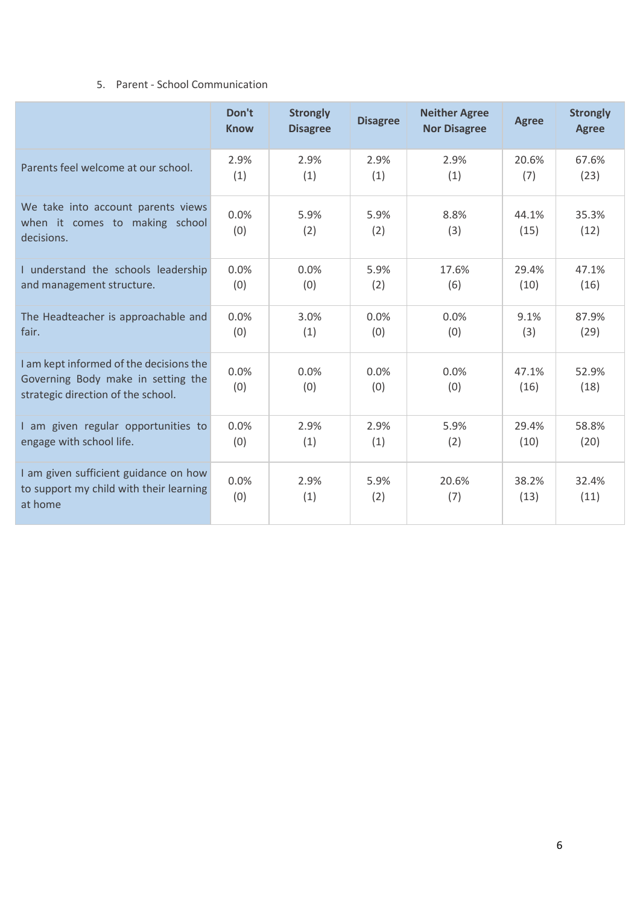#### 5. Parent - School Communication

|                                                                                                                     | Don't<br><b>Know</b> | <b>Strongly</b><br><b>Disagree</b> | <b>Disagree</b> | <b>Neither Agree</b><br><b>Nor Disagree</b> | <b>Agree</b>  | <b>Strongly</b><br><b>Agree</b> |
|---------------------------------------------------------------------------------------------------------------------|----------------------|------------------------------------|-----------------|---------------------------------------------|---------------|---------------------------------|
| Parents feel welcome at our school.                                                                                 | 2.9%                 | 2.9%                               | 2.9%            | 2.9%                                        | 20.6%         | 67.6%                           |
|                                                                                                                     | (1)                  | (1)                                | (1)             | (1)                                         | (7)           | (23)                            |
| We take into account parents views<br>when it comes to making school<br>decisions.                                  | 0.0%<br>(0)          | 5.9%<br>(2)                        | 5.9%<br>(2)     | 8.8%<br>(3)                                 | 44.1%<br>(15) | 35.3%<br>(12)                   |
| I understand the schools leadership                                                                                 | 0.0%                 | 0.0%                               | 5.9%            | 17.6%                                       | 29.4%         | 47.1%                           |
| and management structure.                                                                                           | (0)                  | (0)                                | (2)             | (6)                                         | (10)          | (16)                            |
| The Headteacher is approachable and                                                                                 | 0.0%                 | 3.0%                               | 0.0%            | 0.0%                                        | 9.1%          | 87.9%                           |
| fair.                                                                                                               | (0)                  | (1)                                | (0)             | (0)                                         | (3)           | (29)                            |
| I am kept informed of the decisions the<br>Governing Body make in setting the<br>strategic direction of the school. | 0.0%<br>(0)          | 0.0%<br>(0)                        | 0.0%<br>(0)     | 0.0%<br>(0)                                 | 47.1%<br>(16) | 52.9%<br>(18)                   |
| I am given regular opportunities to                                                                                 | 0.0%                 | 2.9%                               | 2.9%            | 5.9%                                        | 29.4%         | 58.8%                           |
| engage with school life.                                                                                            | (0)                  | (1)                                | (1)             | (2)                                         | (10)          | (20)                            |
| I am given sufficient guidance on how<br>to support my child with their learning<br>at home                         | 0.0%<br>(0)          | 2.9%<br>(1)                        | 5.9%<br>(2)     | 20.6%<br>(7)                                | 38.2%<br>(13) | 32.4%<br>(11)                   |